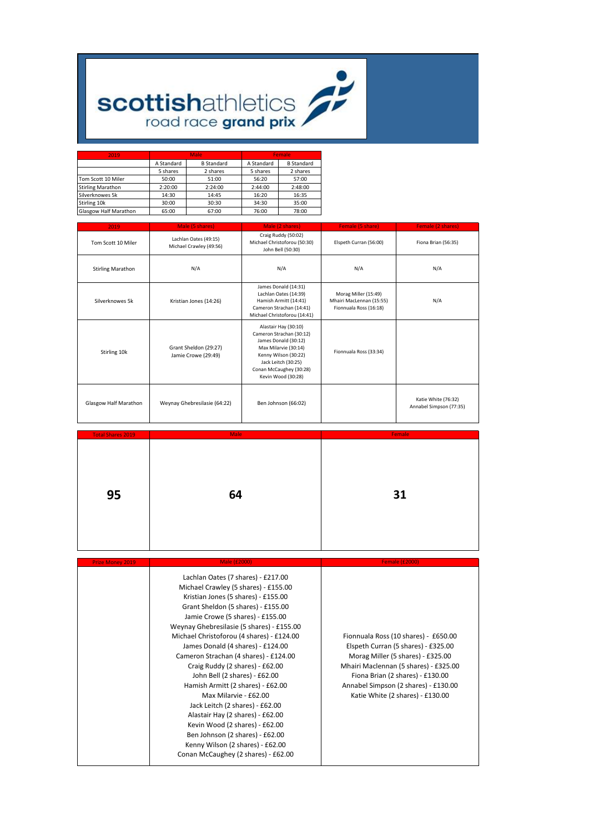## **scottishathletics**

| 2019                     |            | Male              | Female     |                   |  |  |
|--------------------------|------------|-------------------|------------|-------------------|--|--|
|                          | A Standard | <b>B</b> Standard | A Standard | <b>B</b> Standard |  |  |
|                          | 5 shares   | 2 shares          | 5 shares   | 2 shares          |  |  |
| Tom Scott 10 Miler       | 50:00      | 51:00             | 56:20      | 57:00             |  |  |
| <b>Stirling Marathon</b> | 2:20:00    | 2:24:00           | 2:44:00    | 2:48:00           |  |  |
| Silverknowes 5k          | 14:30      | 14:45             | 16:20      | 16:35             |  |  |
| Stirling 10k             | 30:00      | 30:30             | 34:30      | 35:00             |  |  |
| Glasgow Half Marathon    | 65:00      |                   | 76:00      | 78:00             |  |  |

| 2019                     | Male (5 shares)<br>Male (2 shares)               |                                                                                                                                                                                                  | Female (5 share)                                                           | Female (2 shares)                              |
|--------------------------|--------------------------------------------------|--------------------------------------------------------------------------------------------------------------------------------------------------------------------------------------------------|----------------------------------------------------------------------------|------------------------------------------------|
| Tom Scott 10 Miler       | Lachlan Oates (49:15)<br>Michael Crawley (49:56) | Craig Ruddy (50:02)<br>Michael Christoforou (50:30)<br>John Bell (50:30)                                                                                                                         | Elspeth Curran (56:00)                                                     | Fiona Brian (56:35)                            |
| <b>Stirling Marathon</b> | N/A                                              | N/A                                                                                                                                                                                              | N/A                                                                        | N/A                                            |
| Silverknowes 5k          | Kristian Jones (14:26)                           | James Donald (14:31)<br>Lachlan Oates (14:39)<br>Hamish Armitt (14:41)<br>Cameron Strachan (14:41)<br>Michael Christoforou (14:41)                                                               | Morag Miller (15:49)<br>Mhairi MacLennan (15:55)<br>Fionnuala Ross (16:18) | N/A                                            |
| Stirling 10k             | Grant Sheldon (29:27)<br>Jamie Crowe (29:49)     | Alastair Hay (30:10)<br>Cameron Strachan (30:12)<br>James Donald (30:12)<br>Max Milarvie (30:14)<br>Kenny Wilson (30:22)<br>Jack Leitch (30:25)<br>Conan McCaughey (30:28)<br>Kevin Wood (30:28) | Fionnuala Ross (33:34)                                                     |                                                |
| Glasgow Half Marathon    | Weynay Ghebresilasie (64:22)                     | Ben Johnson (66:02)                                                                                                                                                                              |                                                                            | Katie White (76:32)<br>Annabel Simpson (77:35) |

| <b>Total Shares 2019</b> | <b>Male</b> | Female |
|--------------------------|-------------|--------|
| 95                       | 64          | 31     |

| <b>Prize Money 2019</b> | <b>Male (£2000)</b>                                                                                                                                                                                                                                                                                                                                                                                                                                                                                                                                                                                                                                                                                                          | <b>Female (£2000)</b>                                                                                                                                                                                                                                                     |
|-------------------------|------------------------------------------------------------------------------------------------------------------------------------------------------------------------------------------------------------------------------------------------------------------------------------------------------------------------------------------------------------------------------------------------------------------------------------------------------------------------------------------------------------------------------------------------------------------------------------------------------------------------------------------------------------------------------------------------------------------------------|---------------------------------------------------------------------------------------------------------------------------------------------------------------------------------------------------------------------------------------------------------------------------|
|                         | Lachlan Oates (7 shares) - £217.00<br>Michael Crawley (5 shares) - £155.00<br>Kristian Jones (5 shares) - £155.00<br>Grant Sheldon (5 shares) - £155.00<br>Jamie Crowe (5 shares) - £155.00<br>Weynay Ghebresilasie (5 shares) - £155.00<br>Michael Christoforou (4 shares) - £124.00<br>James Donald (4 shares) - £124.00<br>Cameron Strachan (4 shares) - £124.00<br>Craig Ruddy (2 shares) - £62.00<br>John Bell (2 shares) - £62.00<br>Hamish Armitt (2 shares) - £62.00<br>Max Milarvie - £62.00<br>Jack Leitch (2 shares) - £62.00<br>Alastair Hay (2 shares) - £62.00<br>Kevin Wood (2 shares) - £62.00<br>Ben Johnson (2 shares) - £62.00<br>Kenny Wilson (2 shares) - £62.00<br>Conan McCaughey (2 shares) - £62.00 | Fionnuala Ross (10 shares) - £650.00<br>Elspeth Curran (5 shares) - £325.00<br>Morag Miller (5 shares) - £325.00<br>Mhairi Maclennan (5 shares) - £325.00<br>Fiona Brian (2 shares) - £130.00<br>Annabel Simpson (2 shares) - £130.00<br>Katie White (2 shares) - £130.00 |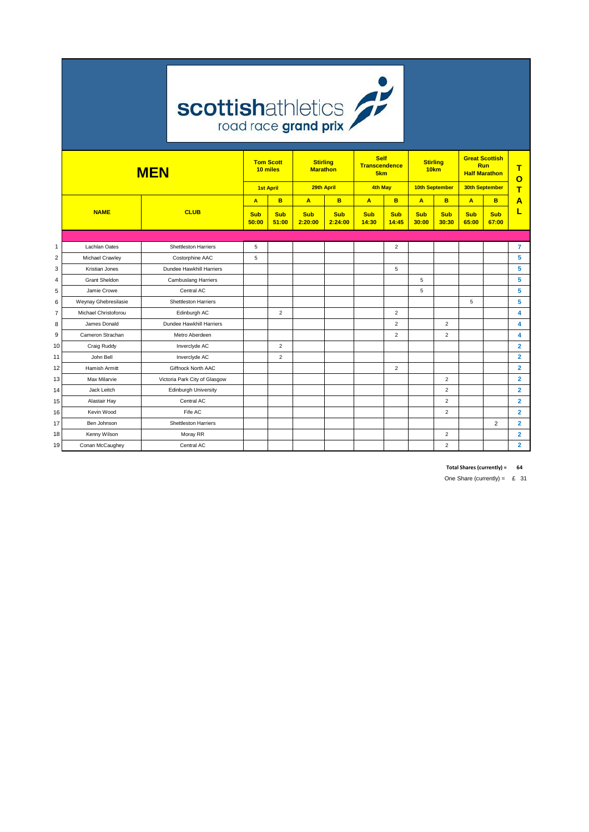

|                | <b>MEN</b>           |                               | <b>Tom Scott</b><br>10 miles |                     | <b>Stirling</b><br><b>Marathon</b> |                       | <b>Self</b><br><b>Transcendence</b><br>5km |                     | <b>Stirling</b><br>10km |                     | <b>Great Scottish</b><br>Run<br><b>Half Marathon</b> |                     | т<br>О         |
|----------------|----------------------|-------------------------------|------------------------------|---------------------|------------------------------------|-----------------------|--------------------------------------------|---------------------|-------------------------|---------------------|------------------------------------------------------|---------------------|----------------|
|                |                      |                               |                              | <b>1st April</b>    | 29th April                         |                       | <b>4th May</b>                             |                     | 10th September          |                     | 30th September                                       |                     | Ŧ              |
|                |                      |                               | A                            | B                   | A                                  | B                     | $\overline{A}$                             | B                   | A                       | B                   | $\overline{A}$                                       | B.                  | А              |
|                | <b>NAME</b>          | <b>CLUB</b>                   | <b>Sub</b><br>50:00          | <b>Sub</b><br>51:00 | Sub<br>2:20:00                     | <b>Sub</b><br>2:24:00 | <b>Sub</b><br>14:30                        | <b>Sub</b><br>14:45 | <b>Sub</b><br>30:00     | <b>Sub</b><br>30:30 | <b>Sub</b><br>65:00                                  | <b>Sub</b><br>67:00 |                |
|                |                      |                               |                              |                     |                                    |                       |                                            |                     |                         |                     |                                                      |                     |                |
| $\mathbf{1}$   | Lachlan Oates        | <b>Shettleston Harriers</b>   | 5                            |                     |                                    |                       |                                            | $\overline{2}$      |                         |                     |                                                      |                     | 7              |
| $\overline{2}$ | Michael Crawley      | Costorphine AAC               | 5                            |                     |                                    |                       |                                            |                     |                         |                     |                                                      |                     | 5              |
| 3              | Kristian Jones       | Dundee Hawkhill Harriers      |                              |                     |                                    |                       |                                            | 5                   |                         |                     |                                                      |                     | 5              |
| $\overline{4}$ | <b>Grant Sheldon</b> | <b>Cambuslang Harriers</b>    |                              |                     |                                    |                       |                                            |                     | 5                       |                     |                                                      |                     | 5              |
| 5              | Jamie Crowe          | Central AC                    |                              |                     |                                    |                       |                                            |                     | 5                       |                     |                                                      |                     | 5              |
| 6              | Weynay Ghebresilasie | <b>Shettleston Harriers</b>   |                              |                     |                                    |                       |                                            |                     |                         |                     | 5                                                    |                     | 5              |
| $\overline{7}$ | Michael Christoforou | Edinburgh AC                  |                              | $\overline{2}$      |                                    |                       |                                            | $\overline{2}$      |                         |                     |                                                      |                     | 4              |
| 8              | James Donald         | Dundee Hawkhill Harriers      |                              |                     |                                    |                       |                                            | $\overline{2}$      |                         | $\overline{2}$      |                                                      |                     | 4              |
| 9              | Cameron Strachan     | Metro Aberdeen                |                              |                     |                                    |                       |                                            | $\overline{2}$      |                         | $\overline{2}$      |                                                      |                     | 4              |
| 10             | Craig Ruddy          | Inverclyde AC                 |                              | $\overline{2}$      |                                    |                       |                                            |                     |                         |                     |                                                      |                     | $\overline{2}$ |
| 11             | John Bell            | Inverciyde AC                 |                              | $\overline{2}$      |                                    |                       |                                            |                     |                         |                     |                                                      |                     | $\overline{2}$ |
| 12             | Hamish Armitt        | Giffnock North AAC            |                              |                     |                                    |                       |                                            | $\overline{2}$      |                         |                     |                                                      |                     | $\overline{2}$ |
| 13             | Max Milarvie         | Victoria Park City of Glasgow |                              |                     |                                    |                       |                                            |                     |                         | $\overline{2}$      |                                                      |                     | $\overline{2}$ |
| 14             | Jack Leitch          | <b>Edinburgh University</b>   |                              |                     |                                    |                       |                                            |                     |                         | $\overline{2}$      |                                                      |                     | $\overline{2}$ |
| 15             | Alastair Hay         | Central AC                    |                              |                     |                                    |                       |                                            |                     |                         | $\overline{2}$      |                                                      |                     | $\overline{2}$ |
| 16             | Kevin Wood           | Fife AC                       |                              |                     |                                    |                       |                                            |                     |                         | $\overline{2}$      |                                                      |                     | $\overline{2}$ |
| 17             | Ben Johnson          | <b>Shettleston Harriers</b>   |                              |                     |                                    |                       |                                            |                     |                         |                     |                                                      | $\overline{2}$      | $\overline{2}$ |
| 18             | Kenny Wilson         | Moray RR                      |                              |                     |                                    |                       |                                            |                     |                         | $\overline{2}$      |                                                      |                     | $\overline{2}$ |
| 19             | Conan McCaughey      | Central AC                    |                              |                     |                                    |                       |                                            |                     |                         | $\overline{2}$      |                                                      |                     | $\overline{2}$ |

**Total Shares (currently) = 64**

One Share (currently) =  $£ 31$